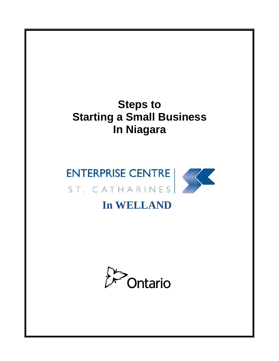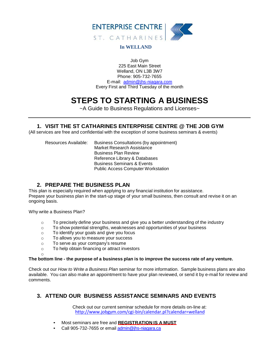

#### **In WELLAND**

Job Gym 225 East Main Street Welland, ON L3B 3W7 Phone: 905-732-7655 E-mail: [admin@jhs-niagara.com](mailto:admin@jhs-niagara.com) Every First and Third Tuesday of the month

# **STEPS TO STARTING A BUSINESS**

~A Guide to Business Regulations and Licenses~

#### **1. VISIT THE ST CATHARINES ENTERPRISE CENTRE @ THE JOB GYM**

(All services are free and confidential with the exception of some business seminars & events)

Resources Available: Business Consultations (by appointment) Market Research Assistance Business Plan Review Reference Library & Databases Business Seminars & Events Public Access Computer Workstation

# **2. PREPARE THE BUSINESS PLAN**

This plan is especially required when applying to any financial institution for assistance. Prepare your business plan in the start-up stage of your small business, then consult and revise it on an ongoing basis.

Why write a Business Plan?

o

- $\circ$  To precisely define your business and give you a better understanding of the industry
- $\circ$  To show potential strengths, weaknesses and opportunities of your business
- o To identify your goals and give you focus
- o To allows you to measure your success
- o To serve as your company's resume
- o To help obtain financing or attract investors

#### **The bottom line - the purpose of a business plan is to improve the success rate of any venture.**

Check out our *How to Write a Business Plan* seminar for more information. Sample business plans are also available. You can also make an appointment to have your plan reviewed, or send it by e-mail for review and comments.

# **3. ATTEND OUR BUSINESS ASSISTANCE SEMINARS AND EVENTS**

Check out our current seminar schedule for more details on-line at: http://www.jobgym.com/cgi-bin/calendar.pl?calendar=welland

- Most seminars are free and **REGISTRATION IS A MUST**
- Call 905-732-7655 or email [admin@jhs-niagara.ca](mailto:admin@jhs-niagara.ca)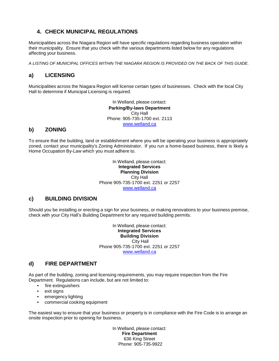# **4. CHECK MUNICIPAL REGULATIONS**

Municipalities across the Niagara Region will have specific regulations regarding business operation within their municipality. Ensure that you check with the various departments listed below for any regulations affecting your business.

*A LISTING OF MUNICIPAL OFFICES WITHIN THE NIAGARA REGION IS PROVIDED ON THE BACK OF THIS GUIDE.*

# **a) LICENSING**

Municipalities across the Niagara Region will license certain types of businesses. Check with the local City Hall to determine if Municipal Licensing is required.

> In Welland, please contact: **Parking/By-laws Department** City Hall Phone: 905-735-1700 ext. 2113 [www.welland.ca](http://www.welland.ca/)

# **b) ZONING**

To ensure that the building, land or establishment where you will be operating your business is appropriately zoned, contact your municipality's Zoning Administrator. If you run a home-based business, there is likely a Home Occupation By-Law which you must adhere to.

> In Welland, please contact: **Integrated Services Planning Division** City Hall Phone 905-735-1700 ext. 2251 or 2257 [www.welland.ca](http://www.welland.ca/)

# **c) BUILDING DIVISION**

Should you be installing or erecting a sign for your business, or making renovations to your business premise, check with your City Hall's Building Department for any required building permits.

> In Welland, please contact: **Integrated Services Building Division** City Hall Phone 905-735-1700 ext. 2251 or 2257 [www.welland.ca](http://www.welland.ca/)

#### **d) FIRE DEPARTMENT**

As part of the building, zoning and licensing requirements, you may require inspection from the Fire Department. Regulations can include, but are not limited to:

- fire extinguishers
- exit signs
- emergency lighting
- commercial cooking equipment

The easiest way to ensure that your business or property is in compliance with the Fire Code is to arrange an onsite inspection prior to opening for business.

> In Welland, please contact: **Fire Department** 636 King Street Phone: 905-735-9922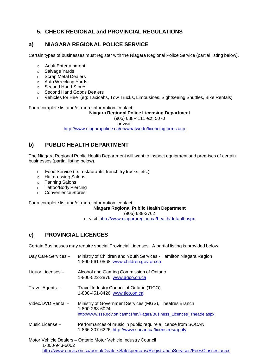# **5. CHECK REGIONAL and PROVINCIAL REGULATIONS**

#### **a) NIAGARA REGIONAL POLICE SERVICE**

Certain types of businesses must register with the Niagara Regional Police Service (partial listing below).

- o Adult Entertainment
- o Salvage Yards
- o Scrap Metal Dealers
- o Auto Wrecking Yards
- o Second Hand Stores
- o Second Hand Goods Dealers
- o Vehicles for Hire (eg: Taxicabs, Tow Trucks, Limousines, Sightseeing Shuttles, Bike Rentals)

For a complete list and/or more information, contact:

**Niagara Regional Police Licensing Department**

(905) 688-4111 ext. 5070

or visit:

http://www.niagarapolice.ca/en/whatwedo/licencingforms.asp

# **b) PUBLIC HEALTH DEPARTMENT**

The Niagara Regional Public Health Department will want to inspect equipment and premises of certain businesses (partial listing below).

- o Food Service (ie: restaurants, french fry trucks, etc.)
- o Hairdressing Salons
- o Tanning Salons
- o Tattoo/Body Piercing
- o Convenience Stores

For a complete list and/or more information, contact:

**Niagara Regional Public Health Department**

(905) 688-3762

or visit: <http://www.niagararegion.ca/health/default.aspx>

# **c) PROVINCIAL LICENCES**

Certain Businesses may require special Provincial Licenses. A partial listing is provided below.

| Day Care Services -                                            | Ministry of Children and Youth Services - Hamilton Niagara Region<br>1-800-561-0568, www.children.gov.on.ca                                      |  |  |  |
|----------------------------------------------------------------|--------------------------------------------------------------------------------------------------------------------------------------------------|--|--|--|
| Liquor Licenses -                                              | Alcohol and Gaming Commission of Ontario<br>1-800-522-2876, www.agco.on.ca                                                                       |  |  |  |
| Travel Agents -                                                | Travel Industry Council of Ontario (TICO)<br>1-888-451-8426, www.tico.on.ca                                                                      |  |  |  |
| Video/DVD Rental -                                             | Ministry of Government Services (MGS), Theatres Branch<br>1-800-268-6024<br>http://www.sse.gov.on.ca/mcs/en/Pages/Business Licences Theatre.aspx |  |  |  |
| Music License -                                                | Performances of music in public require a licence from SOCAN<br>1-866-307-6226, http://www.socan.ca/licensees/apply                              |  |  |  |
| Motor Vehicle Dealers - Ontario Motor Vehicle Industry Council |                                                                                                                                                  |  |  |  |

Motor Vehicle Dealers – Ontario Motor Vehicle Industry Council 1-800-943-6002 http://www.omvic.on.ca/portal/DealersSalespersons/RegistrationServices/FeesClasses.aspx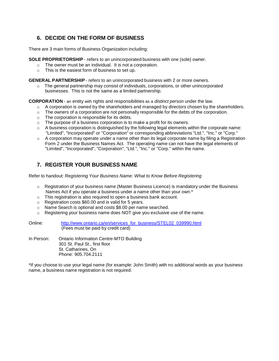# **6. DECIDE ON THE FORM OF BUSINESS**

There are 3 main forms of Business Organization including:

**SOLE PROPRIETORSHIP** - refers to an unincorporated business with one (sole) owner.

- o The owner must be an individual. It is not a corporation.
- o This is the easiest form of business to set up.

**GENERAL PARTNERSHIP** - refers to an unincorporated business with 2 or more owners.

 $\circ$  The general partnership may consist of individuals, corporations, or other unincorporated businesses. This is not the same as a limited partnership.

**CORPORATION** - an entity with rights and responsibilities as a *distinct person* under the law.

- $\circ$  A corporation is owned by the shareholders and managed by directors chosen by the shareholders.
- $\circ$  The owners of a corporation are not personally responsible for the debts of the corporation.
- o The corporation is responsible for its debts.
- The purpose of a business corporation is to make a profit for its owners.
- $\circ$  A business corporation is distinguished by the following legal elements within the corporate name: "Limited", "Incorporated" or "Corporation" or corresponding abbreviations "Ltd.", "Inc." or "Corp."
- $\circ$  A corporation may operate under a name other than its legal corporate name by filing a Registration Form 2 under the Business Names Act. The operating name can not have the legal elements of "Limited", "Incorporated", "Corporation", "Ltd.", "Inc." or "Corp." within the name.

# **7. REGISTER YOUR BUSINESS NAME**

Refer to handout: *Registering Your Business Name: What to Know Before Registering*

- $\circ$  Registration of your business name (Master Business Licence) is mandatory under the Business Names Act if you operate a business under a name other than your own.\*
- o This registration is also required to open a business bank account.
- o Registration costs \$60.00 and is valid for 5 years.
- o Name Search is optional and costs \$8.00 per name searched.
- o Registering your business name does NOT give you exclusive use of the name.

| Online:    | http://www.ontario.ca/en/services for business/STEL02 039990.html<br>(Fees must be paid by credit card) |
|------------|---------------------------------------------------------------------------------------------------------|
| In Person: | Ontario Information Centre-MTO Building<br>301 St. Paul St., first floor<br>St. Catharines, On          |

Phone: 905.704.2111 \*If you choose to use your legal name (for example: John Smith) with no additional words as your business name, a business name registration is not required.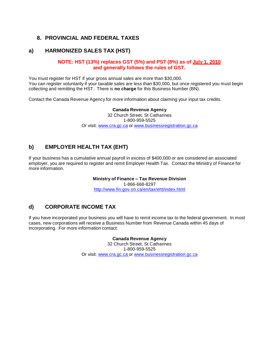#### **8. PROVINCIAL AND FEDERAL TAXES**

#### **a) HARMONIZED SALES TAX (HST)**

#### **NOTE: HST (13%) replaces GST (5%) and PST (8%) as of July 1, 2010 and generally follows the rules of GST.**

You must register for HST if your gross annual sales are more than \$30,000. You can register voluntarily if your taxable sales are less than \$30,000, but once registered you must begin collecting and remitting the HST. There is **no charge** for this Business Number (BN).

Contact the Canada Revenue Agency for more information about claiming your input tax credits.

**Canada Revenue Agency** 32 Church Street, St Catharines 1-800-959-5525 Or visit: [www.cra.gc.ca](http://www.cra.gc.ca/) or [www.businessregistration.gc.ca](http://www.businessregistration.gc.ca/)

#### **b) EMPLOYER HEALTH TAX (EHT)**

If your business has a cumulative annual payroll in excess of \$400,000 or are considered an associated employer, you are required to register and remit Employer Health Tax. Contact the Ministry of Finance for more information.

#### **Ministry of Finance – Tax Revenue Division**

1-866-668-8297 http://www.fin.gov.on.ca/en/tax/eht/index.html

#### **d) CORPORATE INCOME TAX**

If you have incorporated your business you will have to remit income tax to the federal government. In most cases, new corporations will receive a Business Number from Revenue Canada within 45 days of incorporating. For more information contact:

> **Canada Revenue Agency** 32 Church Street, St Catharines 1-800-959-5525 Or visit: [www.cra.gc.ca](http://www.cra.gc.ca/) or [www.businessregistration.gc.ca](http://www.businessregistration.gc.ca/)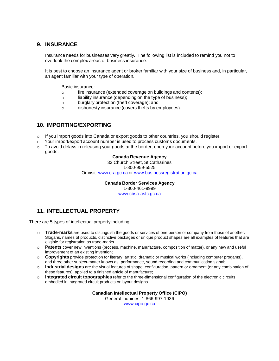#### **9. INSURANCE**

Insurance needs for businesses vary greatly. The following list is included to remind you not to overlook the complex areas of business insurance.

It is best to choose an insurance agent or broker familiar with your size of business and, in particular, an agent familiar with your type of operation.

Basic insurance:

- o fire insurance (extended coverage on buildings and contents);
- o liability insurance (depending on the type of business);
- o burglary protection (theft coverage); and
- o dishonesty insurance (covers thefts by employees).

#### **10. IMPORTING/EXPORTING**

- $\circ$  If you import goods into Canada or export goods to other countries, you should register.
- $\circ$  Your import/export account number is used to process customs documents.
- $\circ$  To avoid delays in releasing your goods at the border, open your account before you import or export goods.

#### **Canada Revenue Agency**

32 Church Street, St Catharines 1-800-959-5525

Or visit: [www.cra.gc.ca](http://www.cra.gc.ca/) or [www.businessregistration.gc.ca](http://www.businessregistration.gc.ca/)

**Canada Border Services Agency** 1-800-461-9999 [www.cbsa-asfc.gc.ca](http://www.cbsa-asfc.gc.ca/)

# **11. INTELLECTUAL PROPERTY**

There are 5 types of intellectual property including:

- o **Trade-marks** are used to distinguish the goods or services of one person or company from those of another. Slogans, names of products, distinctive packages or unique product shapes are all examples of features that are eligible for registration as trade-marks.
- o **Patents** cover new inventions (process, machine, manufacture, composition of matter), or any new and useful improvement of an existing invention;
- o **Copyrights** provide protection for literary, artistic, dramatic or musical works (including computer progams), and three other subject-matter known as: performance, sound recording and communication signal;
- o **Industrial designs** are the visual features of shape, configuration, pattern or ornament (or any combination of these features), applied to a finished article of manufacture;
- o **Integrated circuit topographies** refer to the three-dimensional configuration of the electronic circuits embodied in integrated circuit products or layout designs.

**Canadian Intellectual Property Office (CIPO)** 

General inquiries: 1-866-997-1936

[www.cipo.gc.ca](http://www.cipo.gc.ca/)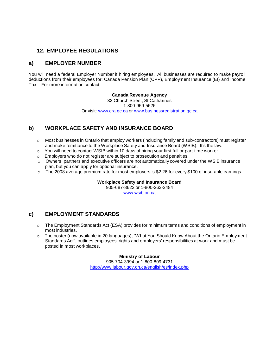# **12. EMPLOYEE REGULATIONS**

#### **a) EMPLOYER NUMBER**

You will need a federal Employer Number if hiring employees. All businesses are required to make payroll deductions from their employees for: Canada Pension Plan (CPP), Employment Insurance (EI) and Income Tax. For more information contact:

**Canada Revenue Agency**

32 Church Street, St Catharines 1-800-959-5525 Or visit: [www.cra.gc.ca](http://www.cra.gc.ca/) or [www.businessregistration.gc.ca](http://www.businessregistration.gc.ca/)

# **b) WORKPLACE SAFETY AND INSURANCE BOARD**

- o Most businesses in Ontario that employ workers (including family and sub-contractors) must register and make remittance to the Workplace Safety and Insurance Board (WSIB). It's the law.
- $\circ$  You will need to contact WSIB within 10 days of hiring your first full or part-time worker.
- o Employers who do not register are subject to prosecution and penalties.
- $\circ$  Owners, partners and executive officers are not automatically covered under the WSIB insurance plan, but you can apply for optional insurance.
- $\circ$  The 2008 average premium rate for most employers is \$2.26 for every \$100 of insurable earnings.

#### **Workplace Safety and Insurance Board**

905-687-8622 or 1-800-263-2484 [www.wsib.on.ca](http://www.wsib.on.ca/)

#### **c) EMPLOYMENT STANDARDS**

- $\circ$  The Employment Standards Act (ESA) provides for minimum terms and conditions of employment in most industries.
- o The poster (now available in 20 languages), "What You Should Know About the Ontario Employment Standards Act", outlines employees' rights and employers' responsibilities at work and must be posted in most workplaces.

**Ministry of Labour** 905-704-3994 or 1-800-809-4731 <http://www.labour.gov.on.ca/english/es/index.php>